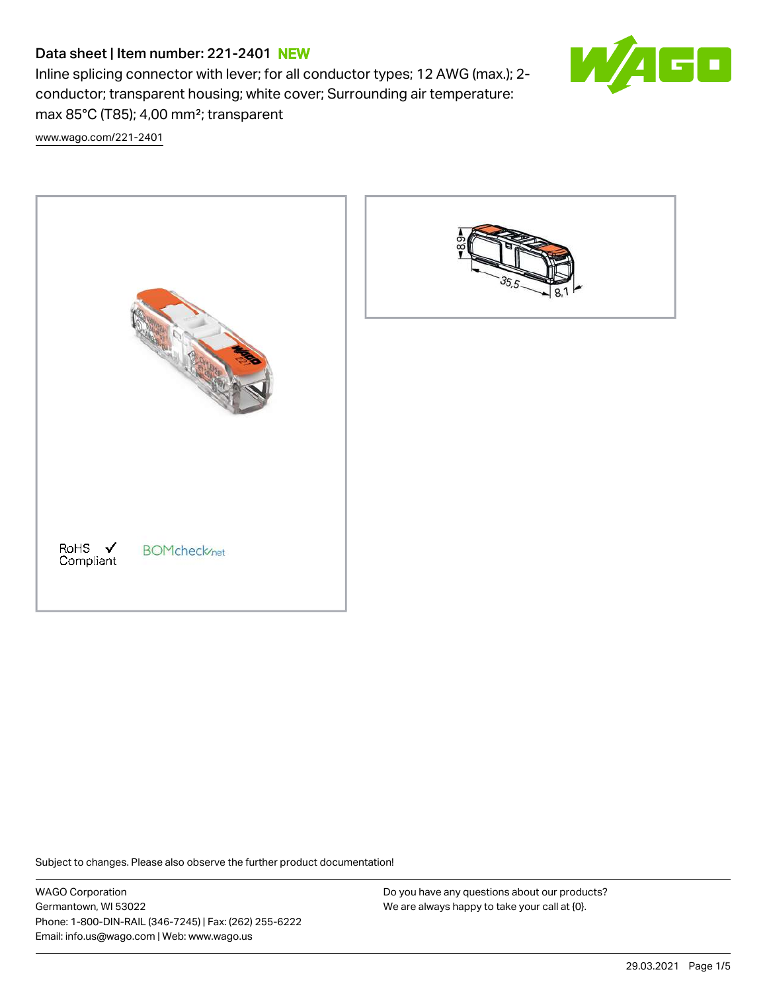# Data sheet | Item number: 221-2401 NEW

Inline splicing connector with lever; for all conductor types; 12 AWG (max.); 2 conductor; transparent housing; white cover; Surrounding air temperature: max 85°C (T85); 4,00 mm²; transparent



[www.wago.com/221-2401](http://www.wago.com/221-2401)





Subject to changes. Please also observe the further product documentation!

WAGO Corporation Germantown, WI 53022 Phone: 1-800-DIN-RAIL (346-7245) | Fax: (262) 255-6222 Email: info.us@wago.com | Web: www.wago.us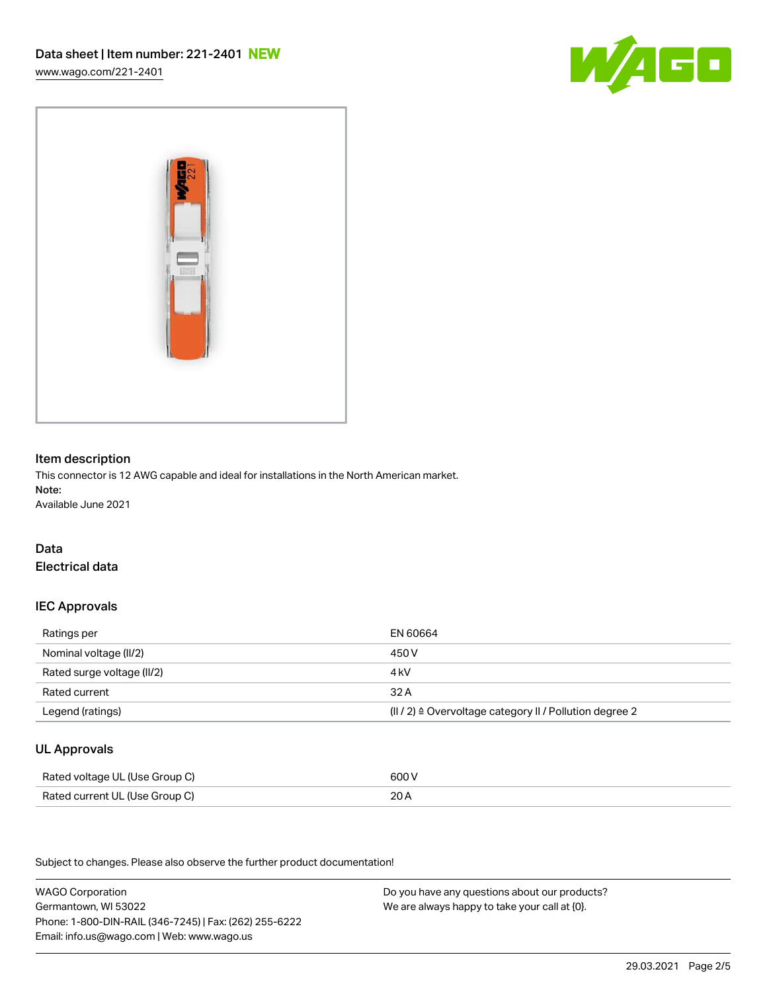[www.wago.com/221-2401](http://www.wago.com/221-2401)





### Item description

This connector is 12 AWG capable and ideal for installations in the North American market. Note: Available June 2021

## Data Electrical data

## IEC Approvals

| Ratings per                | EN 60664                                                            |
|----------------------------|---------------------------------------------------------------------|
| Nominal voltage (II/2)     | 450 V                                                               |
| Rated surge voltage (II/2) | 4 kV                                                                |
| Rated current              | 32A                                                                 |
| Legend (ratings)           | $(   / 2)$ $\triangle$ Overvoltage category II / Pollution degree 2 |

# UL Approvals

| Rated voltage UL (Use Group C) | 600 V |
|--------------------------------|-------|
| Rated current UL (Use Group C) | 20 A  |

Subject to changes. Please also observe the further product documentation!

WAGO Corporation Germantown, WI 53022 Phone: 1-800-DIN-RAIL (346-7245) | Fax: (262) 255-6222 Email: info.us@wago.com | Web: www.wago.us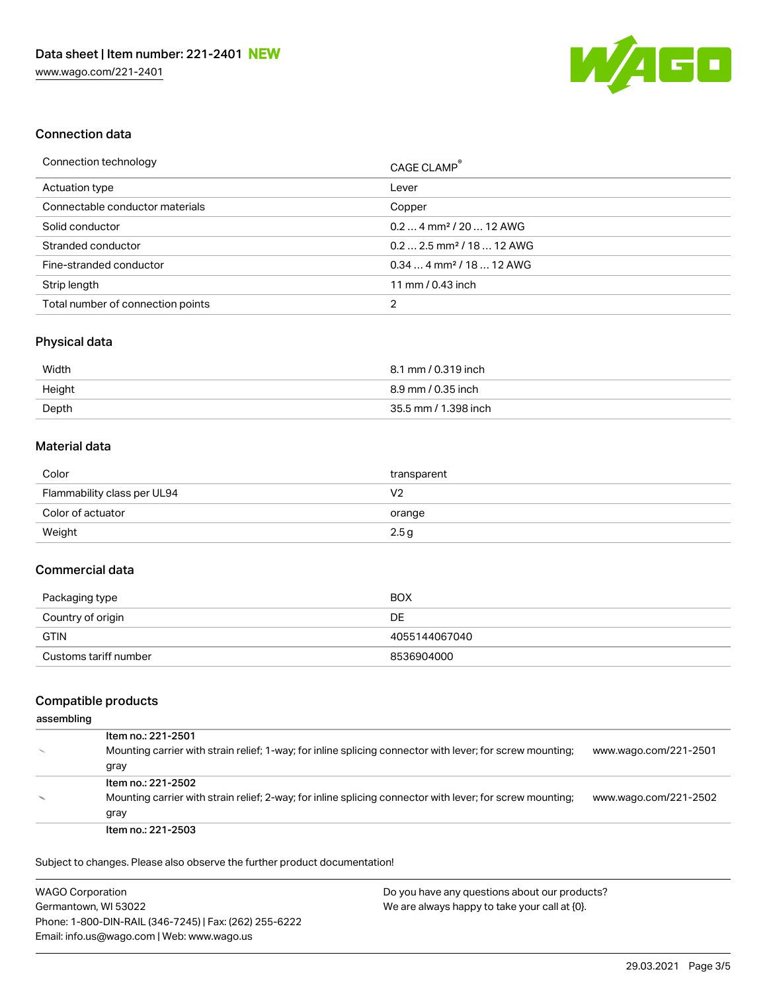

### Connection data

| Connection technology             | CAGE CLAMP <sup>®</sup>               |
|-----------------------------------|---------------------------------------|
| Actuation type                    | Lever                                 |
| Connectable conductor materials   | Copper                                |
| Solid conductor                   | $0.24$ mm <sup>2</sup> / 20  12 AWG   |
| Stranded conductor                | $0.22.5$ mm <sup>2</sup> / 18  12 AWG |
| Fine-stranded conductor           | $0.344$ mm <sup>2</sup> / 18  12 AWG  |
| Strip length                      | 11 mm / 0.43 inch                     |
| Total number of connection points | 2                                     |

# Physical data

| Width  | 8.1 mm / 0.319 inch  |
|--------|----------------------|
| Height | 8.9 mm / 0.35 inch   |
| Depth  | 35.5 mm / 1.398 inch |

#### Material data

| Color                       | transparent |
|-----------------------------|-------------|
| Flammability class per UL94 | V2          |
| Color of actuator           | orange      |
| Weight                      | 2.5g        |

## Commercial data

| Packaging type        | BOX           |
|-----------------------|---------------|
| Country of origin     | DE            |
| <b>GTIN</b>           | 4055144067040 |
| Customs tariff number | 8536904000    |

# Compatible products

#### assembling

| Item no.: 221-2501                                                                                        |                       |
|-----------------------------------------------------------------------------------------------------------|-----------------------|
| Mounting carrier with strain relief; 1-way; for inline splicing connector with lever; for screw mounting; | www.wago.com/221-2501 |
| gray                                                                                                      |                       |
| Item no.: 221-2502                                                                                        |                       |
| Mounting carrier with strain relief; 2-way; for inline splicing connector with lever; for screw mounting; | www.wago.com/221-2502 |
| gray                                                                                                      |                       |
| Item no.: 221-2503                                                                                        |                       |

Subject to changes. Please also observe the further product documentation!

| <b>WAGO Corporation</b>                                | Do you have any questions about our products? |
|--------------------------------------------------------|-----------------------------------------------|
| Germantown, WI 53022                                   | We are always happy to take your call at {0}. |
| Phone: 1-800-DIN-RAIL (346-7245)   Fax: (262) 255-6222 |                                               |
| Email: info.us@wago.com   Web: www.wago.us             |                                               |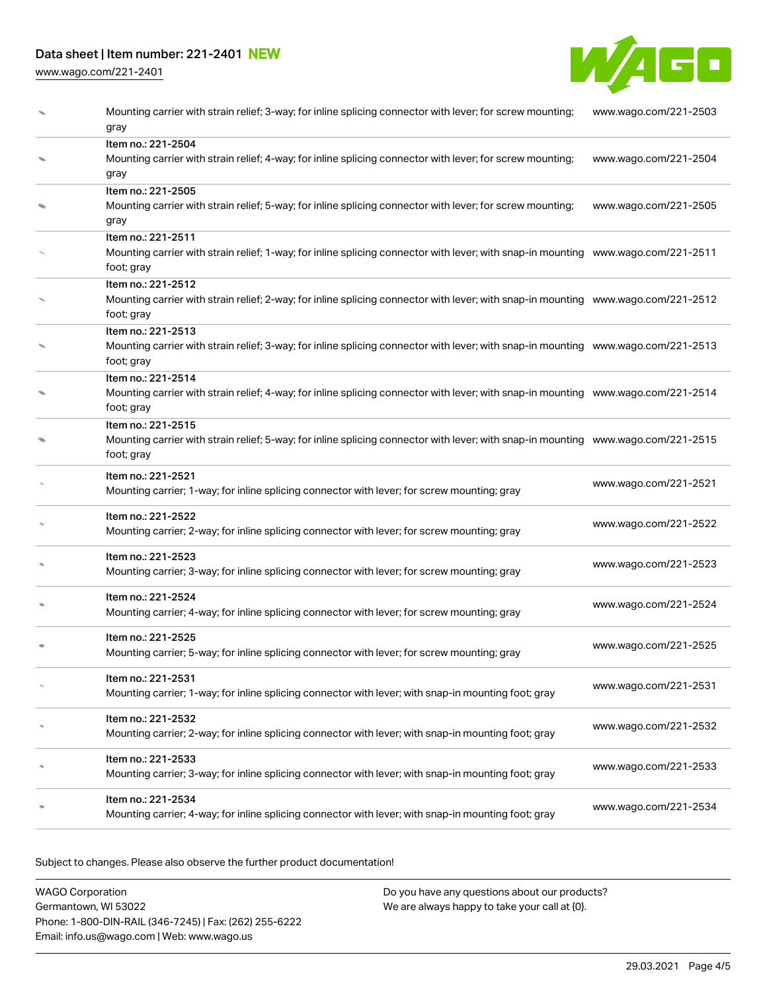# Data sheet | Item number: 221-2401 NEW

[www.wago.com/221-2401](http://www.wago.com/221-2401)



| Mounting carrier with strain relief; 3-way; for inline splicing connector with lever; for screw mounting;<br>gray                                                     | www.wago.com/221-2503 |
|-----------------------------------------------------------------------------------------------------------------------------------------------------------------------|-----------------------|
| Item no.: 221-2504<br>Mounting carrier with strain relief; 4-way; for inline splicing connector with lever; for screw mounting;<br>gray                               | www.wago.com/221-2504 |
| Item no.: 221-2505<br>Mounting carrier with strain relief; 5-way; for inline splicing connector with lever; for screw mounting;<br>gray                               | www.wago.com/221-2505 |
| Item no.: 221-2511<br>Mounting carrier with strain relief; 1-way; for inline splicing connector with lever; with snap-in mounting www.wago.com/221-2511<br>foot; gray |                       |
| Item no.: 221-2512<br>Mounting carrier with strain relief; 2-way; for inline splicing connector with lever; with snap-in mounting www.wago.com/221-2512<br>foot; gray |                       |
| Item no.: 221-2513<br>Mounting carrier with strain relief; 3-way; for inline splicing connector with lever; with snap-in mounting www.wago.com/221-2513<br>foot; gray |                       |
| Item no.: 221-2514<br>Mounting carrier with strain relief; 4-way; for inline splicing connector with lever; with snap-in mounting www.wago.com/221-2514<br>foot; gray |                       |
| Item no.: 221-2515<br>Mounting carrier with strain relief; 5-way; for inline splicing connector with lever; with snap-in mounting www.wago.com/221-2515<br>foot; gray |                       |
| Item no.: 221-2521<br>Mounting carrier; 1-way; for inline splicing connector with lever; for screw mounting; gray                                                     | www.wago.com/221-2521 |
| Item no.: 221-2522<br>Mounting carrier; 2-way; for inline splicing connector with lever; for screw mounting; gray                                                     | www.wago.com/221-2522 |
| Item no.: 221-2523<br>Mounting carrier; 3-way; for inline splicing connector with lever; for screw mounting; gray                                                     | www.wago.com/221-2523 |
| Item no.: 221-2524<br>Mounting carrier; 4-way; for inline splicing connector with lever; for screw mounting; gray                                                     | www.wago.com/221-2524 |
| Item no.: 221-2525<br>Mounting carrier; 5-way; for inline splicing connector with lever; for screw mounting; gray                                                     | www.wago.com/221-2525 |
| Item no.: 221-2531<br>Mounting carrier; 1-way; for inline splicing connector with lever; with snap-in mounting foot; gray                                             | www.wago.com/221-2531 |
| Item no.: 221-2532<br>Mounting carrier; 2-way; for inline splicing connector with lever; with snap-in mounting foot; gray                                             | www.wago.com/221-2532 |
| Item no.: 221-2533<br>Mounting carrier; 3-way; for inline splicing connector with lever; with snap-in mounting foot; gray                                             | www.wago.com/221-2533 |
| Item no.: 221-2534<br>Mounting carrier; 4-way; for inline splicing connector with lever; with snap-in mounting foot; gray                                             | www.wago.com/221-2534 |

Subject to changes. Please also observe the further product documentation!

WAGO Corporation Germantown, WI 53022 Phone: 1-800-DIN-RAIL (346-7245) | Fax: (262) 255-6222 Email: info.us@wago.com | Web: www.wago.us